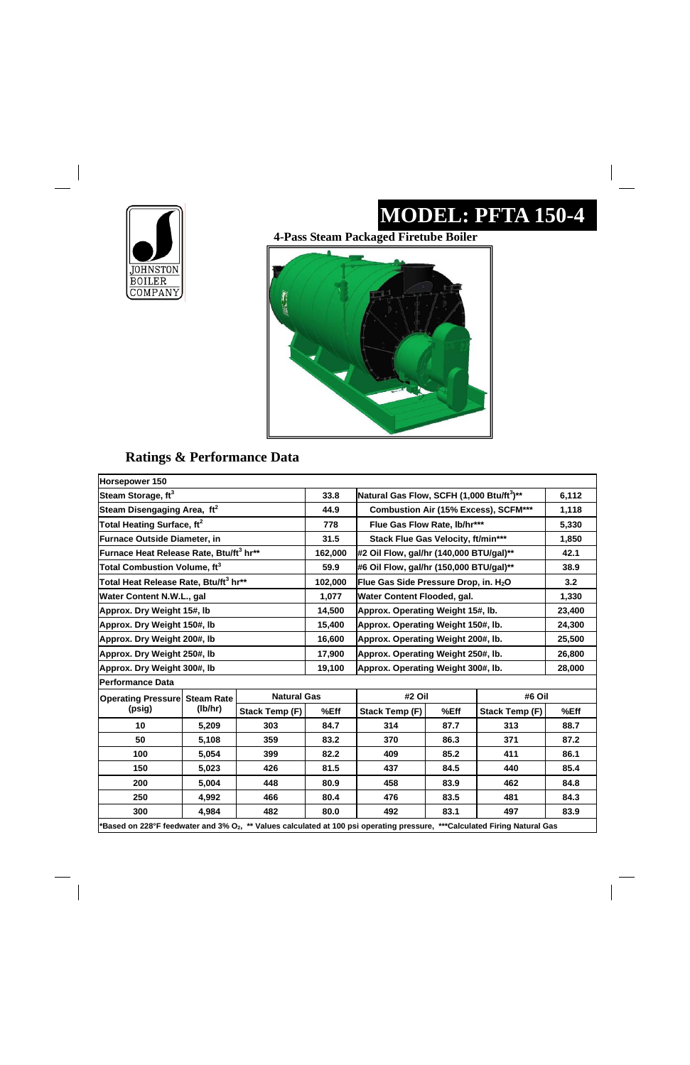

 $\overline{\phantom{a}}$ 

# **MODEL: PFTA 150-4**

 $\begin{array}{c} \hline \end{array}$ 

#### **Ratings & Performance Data**

**4-Pass Steam Packaged Firetube Boiler** 



| Horsepower 150                                      |         |                    |             |                                                       |      |                       |            |
|-----------------------------------------------------|---------|--------------------|-------------|-------------------------------------------------------|------|-----------------------|------------|
| Steam Storage, ft <sup>3</sup>                      |         |                    | 33.8        | Natural Gas Flow, SCFH (1,000 Btu/ft <sup>3</sup> )** |      |                       | 6,112      |
| Steam Disengaging Area, ft <sup>2</sup>             |         |                    | 44.9        | <b>Combustion Air (15% Excess), SCFM***</b>           |      |                       | 1,118      |
| Total Heating Surface, ft <sup>2</sup>              |         |                    | 778         | Flue Gas Flow Rate, lb/hr***                          |      |                       | 5,330      |
| <b>Furnace Outside Diameter, in</b>                 |         |                    | 31.5        | Stack Flue Gas Velocity, ft/min***                    |      |                       | 1,850      |
| Furnace Heat Release Rate, Btu/ft <sup>3</sup> hr** |         |                    | 162,000     | #2 Oil Flow, gal/hr (140,000 BTU/gal)**               |      |                       | 42.1       |
| Total Combustion Volume, ft $^3$                    |         |                    | 59.9        | #6 Oil Flow, gal/hr (150,000 BTU/gal)**               |      |                       | 38.9       |
| Total Heat Release Rate, Btu/ft <sup>3</sup> hr**   |         |                    | 102,000     | Flue Gas Side Pressure Drop, in. H <sub>2</sub> O     |      |                       | 3.2        |
| <b>Water Content N.W.L., gal</b>                    |         |                    | 1,077       | Water Content Flooded, gal.                           |      |                       | 1,330      |
| Approx. Dry Weight 15#, lb                          |         |                    | 14,500      | Approx. Operating Weight 15#, lb.                     |      |                       | 23,400     |
| Approx. Dry Weight 150#, lb                         |         |                    | 15,400      | Approx. Operating Weight 150#, lb.                    |      |                       | 24,300     |
| Approx. Dry Weight 200#, lb                         |         |                    | 16,600      | Approx. Operating Weight 200#, lb.                    |      |                       | 25,500     |
| Approx. Dry Weight 250#, lb                         |         |                    | 17,900      | Approx. Operating Weight 250#, lb.                    |      |                       | 26,800     |
| Approx. Dry Weight 300#, Ib                         |         |                    | 19,100      | Approx. Operating Weight 300#, lb.                    |      |                       | 28,000     |
| <b>Performance Data</b>                             |         |                    |             |                                                       |      |                       |            |
| <b>Operating Pressure Steam Rate</b>                |         | <b>Natural Gas</b> |             | #2 Oil<br>#6 Oil                                      |      |                       |            |
| (psig)                                              | (lb/hr) | Stack Temp (F)     | %Eff        | <b>Stack Temp (F)</b>                                 | %Eff | <b>Stack Temp (F)</b> | %Eff       |
| 10                                                  | 5,209   | 303                | 84.7        | 314                                                   | 87.7 | 313                   | 88.7       |
| 50                                                  | 5,108   | 359                | 83.2        | 370                                                   | 86.3 | 371                   | 87.2       |
| 100                                                 | 5,054   | 399                | 82.2        | 409                                                   | 85.2 | 411                   | 86.1       |
| 150                                                 | 5,023   | 426                | 81.5        | 437                                                   | 84.5 | 440                   | 85.4       |
| ንስስ                                                 | 5.00A   | <b>AAQ</b>         | <b>20.0</b> | <b>ARQ</b>                                            | 930  | ハムワ                   | <b>QAQ</b> |

| 200                                                                                                                                                     | 5,004 | 448 | 80.9 | 458 | 83.9 | 462 | 84.8 |
|---------------------------------------------------------------------------------------------------------------------------------------------------------|-------|-----|------|-----|------|-----|------|
| 250                                                                                                                                                     | 4.992 | 466 | 80.4 | 476 | 83.5 | 481 | 84.3 |
| 300                                                                                                                                                     | 4.984 | 482 | 80.0 | 492 | 83.1 | 497 | 83.9 |
| <sup>*</sup> Based on 228°F feedwater and 3% O <sub>2</sub> , ** Values calculated at 100 psi operating pressure, *<br>***Calculated Firing Natural Gas |       |     |      |     |      |     |      |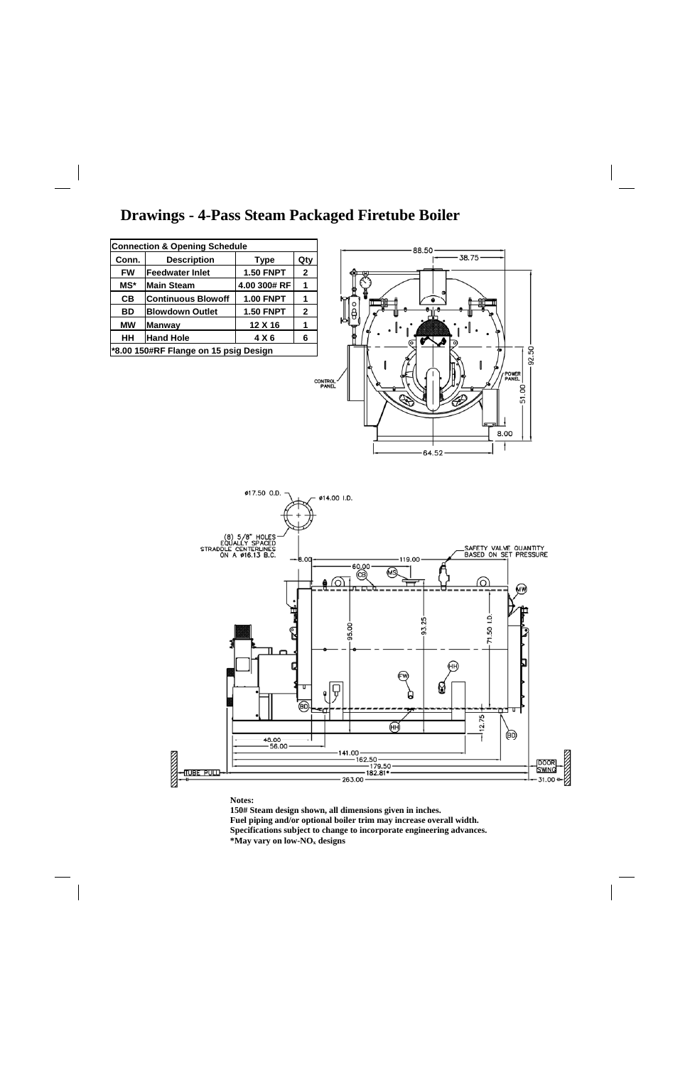### **Drawings - 4-Pass Steam Packaged Firetube Boiler**

**Notes:** 

**150# Steam design shown, all dimensions given in inches. Fuel piping and/or optional boiler trim may increase overall width. Specifications subject to change to incorporate engineering advances. \*May vary on low-NOx designs** 

| <b>Connection &amp; Opening Schedule</b> |                           |                  |              |  |  |  |  |
|------------------------------------------|---------------------------|------------------|--------------|--|--|--|--|
| Conn.                                    | <b>Description</b>        | <b>Type</b>      | Qty          |  |  |  |  |
| <b>FW</b>                                | lFeedwater Inlet          | <b>1.50 FNPT</b> | $\mathbf{2}$ |  |  |  |  |
| MS*                                      | lMain Steam               | 4.00 300# RF     | 1            |  |  |  |  |
| CВ                                       | <b>Continuous Blowoff</b> | <b>1.00 FNPT</b> |              |  |  |  |  |
| BD                                       | <b>Blowdown Outlet</b>    | <b>1.50 FNPT</b> | $\mathbf{2}$ |  |  |  |  |
| <b>MW</b><br>12 X 16<br><b>Manway</b>    |                           |                  |              |  |  |  |  |
| HH<br><b>Hand Hole</b><br>4 X 6<br>6     |                           |                  |              |  |  |  |  |
| *8.00 150#RF Flange on 15 psig Design    |                           |                  |              |  |  |  |  |
|                                          |                           |                  |              |  |  |  |  |



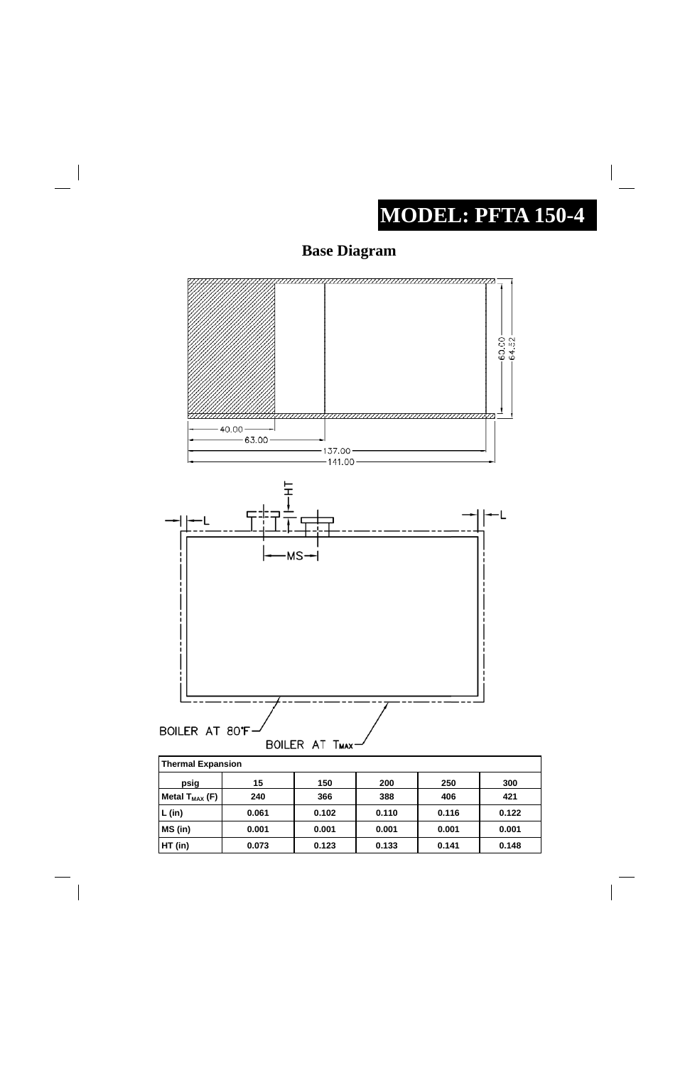# **MODEL: PFTA 150-4**

 $\begin{array}{c} \begin{array}{c} \begin{array}{c} \begin{array}{c} \end{array} \\ \begin{array}{c} \end{array} \end{array} \end{array} \end{array}$ 

## **Base Diagram**





| <b>Thermal Expansion</b> |  |     |             |  |
|--------------------------|--|-----|-------------|--|
| -------                  |  | ^^^ | <u> Ага</u> |  |

| psig                | 15    | 150   | 200   | 250   | 300   |
|---------------------|-------|-------|-------|-------|-------|
| Metal $T_{MAX}$ (F) | 240   | 366   | 388   | 406   | 421   |
| (in)                | 0.061 | 0.102 | 0.110 | 0.116 | 0.122 |
| MS (in)             | 0.001 | 0.001 | 0.001 | 0.001 | 0.001 |
| HT (in)             | 0.073 | 0.123 | 0.133 | 0.141 | 0.148 |

 $\equiv$